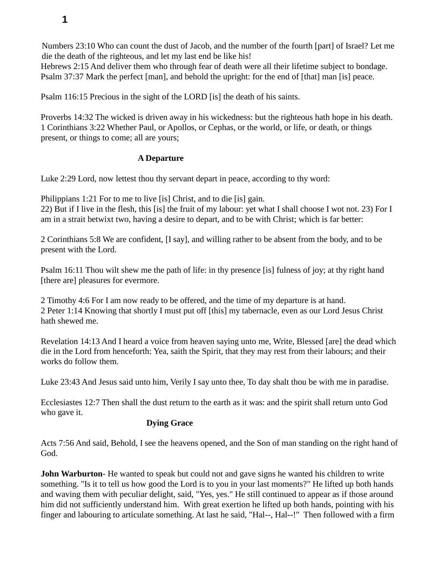Numbers 23:10 Who can count the dust of Jacob, and the number of the fourth [part] of Israel? Let me die the death of the righteous, and let my last end be like his!

Hebrews 2:15 And deliver them who through fear of death were all their lifetime subject to bondage. Psalm 37:37 Mark the perfect [man], and behold the upright: for the end of [that] man [is] peace.

Psalm 116:15 Precious in the sight of the LORD [is] the death of his saints.

Proverbs 14:32 The wicked is driven away in his wickedness: but the righteous hath hope in his death. 1 Corinthians 3:22 Whether Paul, or Apollos, or Cephas, or the world, or life, or death, or things present, or things to come; all are yours;

### **A Departure**

Luke 2:29 Lord, now lettest thou thy servant depart in peace, according to thy word:

Philippians 1:21 For to me to live [is] Christ, and to die [is] gain.

22) But if I live in the flesh, this [is] the fruit of my labour: yet what I shall choose I wot not. 23) For I am in a strait betwixt two, having a desire to depart, and to be with Christ; which is far better:

2 Corinthians 5:8 We are confident, [I say], and willing rather to be absent from the body, and to be present with the Lord.

Psalm 16:11 Thou wilt shew me the path of life: in thy presence [is] fulness of joy; at thy right hand [there are] pleasures for evermore.

2 Timothy 4:6 For I am now ready to be offered, and the time of my departure is at hand. 2 Peter 1:14 Knowing that shortly I must put off [this] my tabernacle, even as our Lord Jesus Christ hath shewed me.

Revelation 14:13 And I heard a voice from heaven saying unto me, Write, Blessed [are] the dead which die in the Lord from henceforth: Yea, saith the Spirit, that they may rest from their labours; and their works do follow them.

Luke 23:43 And Jesus said unto him, Verily I say unto thee, To day shalt thou be with me in paradise.

Ecclesiastes 12:7 Then shall the dust return to the earth as it was: and the spirit shall return unto God who gave it.

### **Dying Grace**

Acts 7:56 And said, Behold, I see the heavens opened, and the Son of man standing on the right hand of God.

**John Warburton**- He wanted to speak but could not and gave signs he wanted his children to write something. "Is it to tell us how good the Lord is to you in your last moments?" He lifted up both hands and waving them with peculiar delight, said, "Yes, yes." He still continued to appear as if those around him did not sufficiently understand him. With great exertion he lifted up both hands, pointing with his finger and labouring to articulate something. At last he said, "Hal--, Hal--!" Then followed with a firm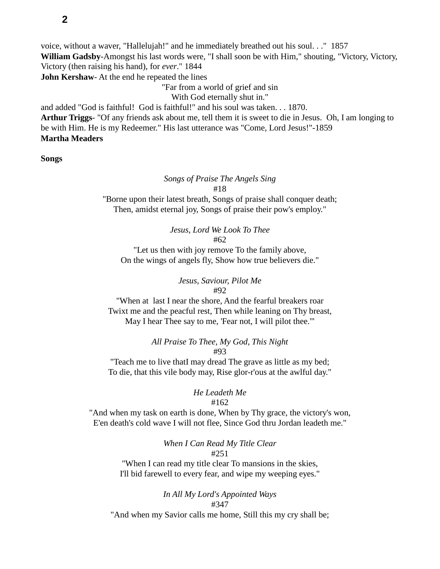voice, without a waver, "Hallelujah!" and he immediately breathed out his soul. . ." 1857 **William Gadsby**-Amongst his last words were, "I shall soon be with Him," shouting, "Victory, Victory, Victory (then raising his hand), for *ever*." 1844 **John Kershaw**- At the end he repeated the lines

"Far from a world of grief and sin

With God eternally shut in."

and added "God is faithful! God is faithful!" and his soul was taken. . . 1870. **Arthur Triggs**- "Of any friends ask about me, tell them it is sweet to die in Jesus. Oh, I am longing to be with Him. He is my Redeemer." His last utterance was "Come, Lord Jesus!"-1859 **Martha Meaders**

**Songs**

#### *Songs of Praise The Angels Sing* #18

"Borne upon their latest breath, Songs of praise shall conquer death; Then, amidst eternal joy, Songs of praise their pow's employ."

## *Jesus, Lord We Look To Thee*

#62

"Let us then with joy remove To the family above, On the wings of angels fly, Show how true believers die."

# *Jesus, Saviour, Pilot Me*

#92

"When at last I near the shore, And the fearful breakers roar Twixt me and the peacful rest, Then while leaning on Thy breast, May I hear Thee say to me, 'Fear not, I will pilot thee.'"

### *All Praise To Thee, My God, This Night* #93

"Teach me to live thatI may dread The grave as little as my bed; To die, that this vile body may, Rise glor-r'ous at the awlful day."

### *He Leadeth Me*

### #162

"And when my task on earth is done, When by Thy grace, the victory's won, E'en death's cold wave I will not flee, Since God thru Jordan leadeth me."

#### *When I Can Read My Title Clear* #251

"When I can read my title clear To mansions in the skies, I'll bid farewell to every fear, and wipe my weeping eyes."

### *In All My Lord's Appointed Ways* #347

"And when my Savior calls me home, Still this my cry shall be;